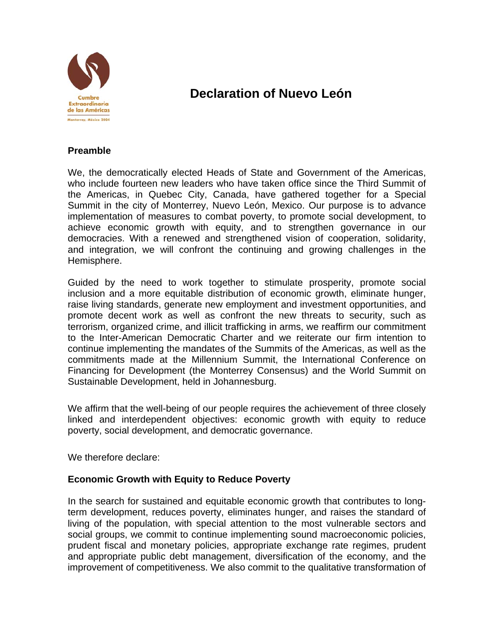

# **Declaration of Nuevo León**

## **Preamble**

We, the democratically elected Heads of State and Government of the Americas, who include fourteen new leaders who have taken office since the Third Summit of the Americas, in Quebec City, Canada, have gathered together for a Special Summit in the city of Monterrey, Nuevo León, Mexico. Our purpose is to advance implementation of measures to combat poverty, to promote social development, to achieve economic growth with equity, and to strengthen governance in our democracies. With a renewed and strengthened vision of cooperation, solidarity, and integration, we will confront the continuing and growing challenges in the Hemisphere.

Guided by the need to work together to stimulate prosperity, promote social inclusion and a more equitable distribution of economic growth, eliminate hunger, raise living standards, generate new employment and investment opportunities, and promote decent work as well as confront the new threats to security, such as terrorism, organized crime, and illicit trafficking in arms, we reaffirm our commitment to the Inter-American Democratic Charter and we reiterate our firm intention to continue implementing the mandates of the Summits of the Americas, as well as the commitments made at the Millennium Summit, the International Conference on Financing for Development (the Monterrey Consensus) and the World Summit on Sustainable Development, held in Johannesburg.

We affirm that the well-being of our people requires the achievement of three closely linked and interdependent objectives: economic growth with equity to reduce poverty, social development, and democratic governance.

We therefore declare:

### **Economic Growth with Equity to Reduce Poverty**

In the search for sustained and equitable economic growth that contributes to longterm development, reduces poverty, eliminates hunger, and raises the standard of living of the population, with special attention to the most vulnerable sectors and social groups, we commit to continue implementing sound macroeconomic policies, prudent fiscal and monetary policies, appropriate exchange rate regimes, prudent and appropriate public debt management, diversification of the economy, and the improvement of competitiveness. We also commit to the qualitative transformation of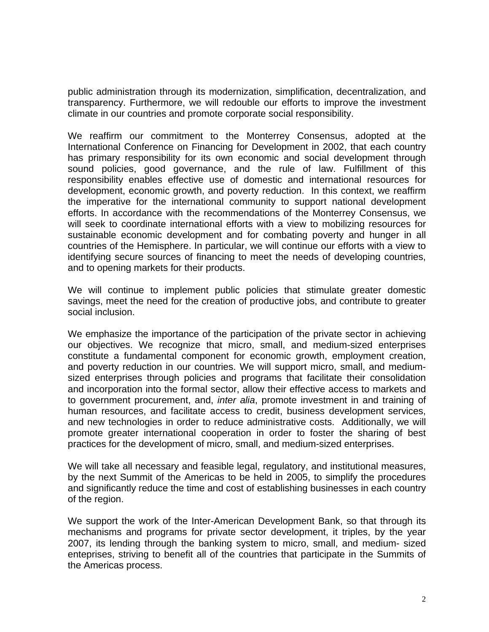public administration through its modernization, simplification, decentralization, and transparency. Furthermore, we will redouble our efforts to improve the investment climate in our countries and promote corporate social responsibility.

We reaffirm our commitment to the Monterrey Consensus, adopted at the International Conference on Financing for Development in 2002, that each country has primary responsibility for its own economic and social development through sound policies, good governance, and the rule of law. Fulfillment of this responsibility enables effective use of domestic and international resources for development, economic growth, and poverty reduction. In this context, we reaffirm the imperative for the international community to support national development efforts. In accordance with the recommendations of the Monterrey Consensus, we will seek to coordinate international efforts with a view to mobilizing resources for sustainable economic development and for combating poverty and hunger in all countries of the Hemisphere. In particular, we will continue our efforts with a view to identifying secure sources of financing to meet the needs of developing countries, and to opening markets for their products.

We will continue to implement public policies that stimulate greater domestic savings, meet the need for the creation of productive jobs, and contribute to greater social inclusion.

We emphasize the importance of the participation of the private sector in achieving our objectives. We recognize that micro, small, and medium-sized enterprises constitute a fundamental component for economic growth, employment creation, and poverty reduction in our countries. We will support micro, small, and mediumsized enterprises through policies and programs that facilitate their consolidation and incorporation into the formal sector, allow their effective access to markets and to government procurement, and, *inter alia*, promote investment in and training of human resources, and facilitate access to credit, business development services, and new technologies in order to reduce administrative costs. Additionally, we will promote greater international cooperation in order to foster the sharing of best practices for the development of micro, small, and medium-sized enterprises.

We will take all necessary and feasible legal, regulatory, and institutional measures, by the next Summit of the Americas to be held in 2005, to simplify the procedures and significantly reduce the time and cost of establishing businesses in each country of the region.

We support the work of the Inter-American Development Bank, so that through its mechanisms and programs for private sector development, it triples, by the year 2007, its lending through the banking system to micro, small, and medium- sized enteprises, striving to benefit all of the countries that participate in the Summits of the Americas process.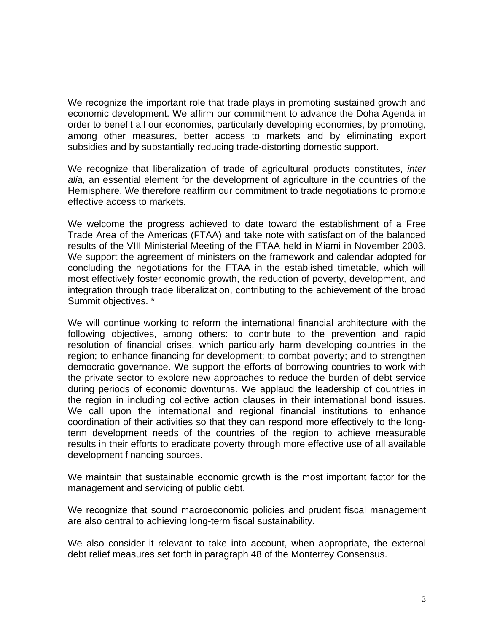We recognize the important role that trade plays in promoting sustained growth and economic development. We affirm our commitment to advance the Doha Agenda in order to benefit all our economies, particularly developing economies, by promoting, among other measures, better access to markets and by eliminating export subsidies and by substantially reducing trade-distorting domestic support.

We recognize that liberalization of trade of agricultural products constitutes, *inter alia,* an essential element for the development of agriculture in the countries of the Hemisphere. We therefore reaffirm our commitment to trade negotiations to promote effective access to markets.

We welcome the progress achieved to date toward the establishment of a Free Trade Area of the Americas (FTAA) and take note with satisfaction of the balanced results of the VIII Ministerial Meeting of the FTAA held in Miami in November 2003. We support the agreement of ministers on the framework and calendar adopted for concluding the negotiations for the FTAA in the established timetable, which will most effectively foster economic growth, the reduction of poverty, development, and integration through trade liberalization, contributing to the achievement of the broad Summit objectives. \*

We will continue working to reform the international financial architecture with the following objectives, among others: to contribute to the prevention and rapid resolution of financial crises, which particularly harm developing countries in the region; to enhance financing for development; to combat poverty; and to strengthen democratic governance. We support the efforts of borrowing countries to work with the private sector to explore new approaches to reduce the burden of debt service during periods of economic downturns. We applaud the leadership of countries in the region in including collective action clauses in their international bond issues. We call upon the international and regional financial institutions to enhance coordination of their activities so that they can respond more effectively to the longterm development needs of the countries of the region to achieve measurable results in their efforts to eradicate poverty through more effective use of all available development financing sources.

We maintain that sustainable economic growth is the most important factor for the management and servicing of public debt.

We recognize that sound macroeconomic policies and prudent fiscal management are also central to achieving long-term fiscal sustainability.

We also consider it relevant to take into account, when appropriate, the external debt relief measures set forth in paragraph 48 of the Monterrey Consensus.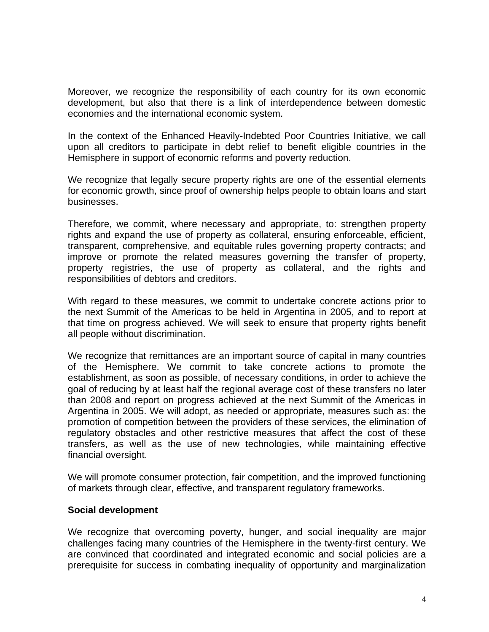Moreover, we recognize the responsibility of each country for its own economic development, but also that there is a link of interdependence between domestic economies and the international economic system.

In the context of the Enhanced Heavily-Indebted Poor Countries Initiative, we call upon all creditors to participate in debt relief to benefit eligible countries in the Hemisphere in support of economic reforms and poverty reduction.

We recognize that legally secure property rights are one of the essential elements for economic growth, since proof of ownership helps people to obtain loans and start businesses.

Therefore, we commit, where necessary and appropriate, to: strengthen property rights and expand the use of property as collateral, ensuring enforceable, efficient, transparent, comprehensive, and equitable rules governing property contracts; and improve or promote the related measures governing the transfer of property, property registries, the use of property as collateral, and the rights and responsibilities of debtors and creditors.

With regard to these measures, we commit to undertake concrete actions prior to the next Summit of the Americas to be held in Argentina in 2005, and to report at that time on progress achieved. We will seek to ensure that property rights benefit all people without discrimination.

We recognize that remittances are an important source of capital in many countries of the Hemisphere. We commit to take concrete actions to promote the establishment, as soon as possible, of necessary conditions, in order to achieve the goal of reducing by at least half the regional average cost of these transfers no later than 2008 and report on progress achieved at the next Summit of the Americas in Argentina in 2005. We will adopt, as needed or appropriate, measures such as: the promotion of competition between the providers of these services, the elimination of regulatory obstacles and other restrictive measures that affect the cost of these transfers, as well as the use of new technologies, while maintaining effective financial oversight.

We will promote consumer protection, fair competition, and the improved functioning of markets through clear, effective, and transparent regulatory frameworks.

### **Social development**

We recognize that overcoming poverty, hunger, and social inequality are major challenges facing many countries of the Hemisphere in the twenty-first century. We are convinced that coordinated and integrated economic and social policies are a prerequisite for success in combating inequality of opportunity and marginalization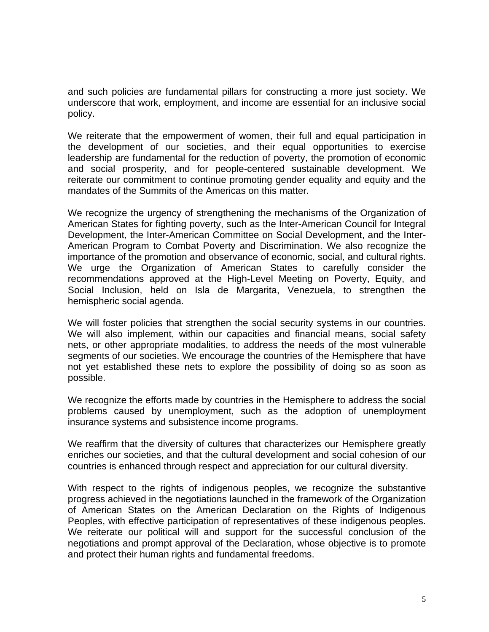and such policies are fundamental pillars for constructing a more just society. We underscore that work, employment, and income are essential for an inclusive social policy.

We reiterate that the empowerment of women, their full and equal participation in the development of our societies, and their equal opportunities to exercise leadership are fundamental for the reduction of poverty, the promotion of economic and social prosperity, and for people-centered sustainable development. We reiterate our commitment to continue promoting gender equality and equity and the mandates of the Summits of the Americas on this matter.

We recognize the urgency of strengthening the mechanisms of the Organization of American States for fighting poverty, such as the Inter-American Council for Integral Development, the Inter-American Committee on Social Development, and the Inter-American Program to Combat Poverty and Discrimination. We also recognize the importance of the promotion and observance of economic, social, and cultural rights. We urge the Organization of American States to carefully consider the recommendations approved at the High-Level Meeting on Poverty, Equity, and Social Inclusion, held on Isla de Margarita, Venezuela, to strengthen the hemispheric social agenda.

We will foster policies that strengthen the social security systems in our countries. We will also implement, within our capacities and financial means, social safety nets, or other appropriate modalities, to address the needs of the most vulnerable segments of our societies. We encourage the countries of the Hemisphere that have not yet established these nets to explore the possibility of doing so as soon as possible.

We recognize the efforts made by countries in the Hemisphere to address the social problems caused by unemployment, such as the adoption of unemployment insurance systems and subsistence income programs.

We reaffirm that the diversity of cultures that characterizes our Hemisphere greatly enriches our societies, and that the cultural development and social cohesion of our countries is enhanced through respect and appreciation for our cultural diversity.

With respect to the rights of indigenous peoples, we recognize the substantive progress achieved in the negotiations launched in the framework of the Organization of American States on the American Declaration on the Rights of Indigenous Peoples, with effective participation of representatives of these indigenous peoples. We reiterate our political will and support for the successful conclusion of the negotiations and prompt approval of the Declaration, whose objective is to promote and protect their human rights and fundamental freedoms.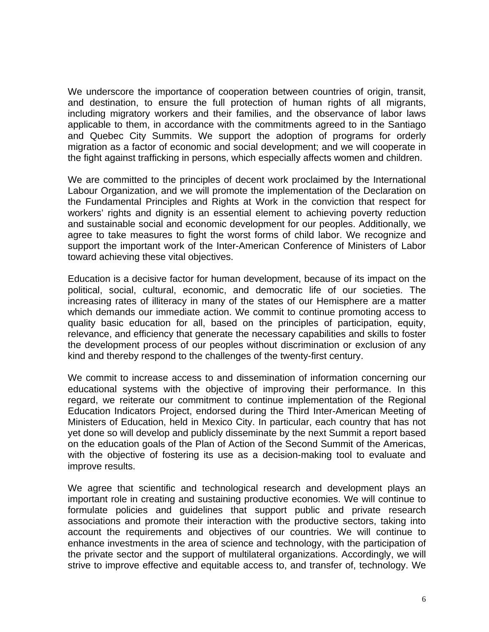We underscore the importance of cooperation between countries of origin, transit, and destination, to ensure the full protection of human rights of all migrants, including migratory workers and their families, and the observance of labor laws applicable to them, in accordance with the commitments agreed to in the Santiago and Quebec City Summits. We support the adoption of programs for orderly migration as a factor of economic and social development; and we will cooperate in the fight against trafficking in persons, which especially affects women and children.

We are committed to the principles of decent work proclaimed by the International Labour Organization, and we will promote the implementation of the Declaration on the Fundamental Principles and Rights at Work in the conviction that respect for workers' rights and dignity is an essential element to achieving poverty reduction and sustainable social and economic development for our peoples. Additionally, we agree to take measures to fight the worst forms of child labor. We recognize and support the important work of the Inter-American Conference of Ministers of Labor toward achieving these vital objectives.

Education is a decisive factor for human development, because of its impact on the political, social, cultural, economic, and democratic life of our societies. The increasing rates of illiteracy in many of the states of our Hemisphere are a matter which demands our immediate action. We commit to continue promoting access to quality basic education for all, based on the principles of participation, equity, relevance, and efficiency that generate the necessary capabilities and skills to foster the development process of our peoples without discrimination or exclusion of any kind and thereby respond to the challenges of the twenty-first century.

We commit to increase access to and dissemination of information concerning our educational systems with the objective of improving their performance. In this regard, we reiterate our commitment to continue implementation of the Regional Education Indicators Project, endorsed during the Third Inter-American Meeting of Ministers of Education, held in Mexico City. In particular, each country that has not yet done so will develop and publicly disseminate by the next Summit a report based on the education goals of the Plan of Action of the Second Summit of the Americas, with the objective of fostering its use as a decision-making tool to evaluate and improve results.

We agree that scientific and technological research and development plays an important role in creating and sustaining productive economies. We will continue to formulate policies and guidelines that support public and private research associations and promote their interaction with the productive sectors, taking into account the requirements and objectives of our countries. We will continue to enhance investments in the area of science and technology, with the participation of the private sector and the support of multilateral organizations. Accordingly, we will strive to improve effective and equitable access to, and transfer of, technology. We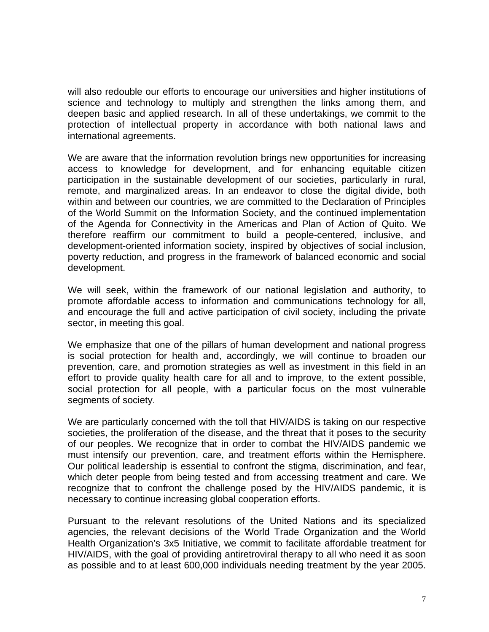will also redouble our efforts to encourage our universities and higher institutions of science and technology to multiply and strengthen the links among them, and deepen basic and applied research. In all of these undertakings, we commit to the protection of intellectual property in accordance with both national laws and international agreements.

We are aware that the information revolution brings new opportunities for increasing access to knowledge for development, and for enhancing equitable citizen participation in the sustainable development of our societies, particularly in rural, remote, and marginalized areas. In an endeavor to close the digital divide, both within and between our countries, we are committed to the Declaration of Principles of the World Summit on the Information Society, and the continued implementation of the Agenda for Connectivity in the Americas and Plan of Action of Quito. We therefore reaffirm our commitment to build a people-centered, inclusive, and development-oriented information society, inspired by objectives of social inclusion, poverty reduction, and progress in the framework of balanced economic and social development.

We will seek, within the framework of our national legislation and authority, to promote affordable access to information and communications technology for all, and encourage the full and active participation of civil society, including the private sector, in meeting this goal.

We emphasize that one of the pillars of human development and national progress is social protection for health and, accordingly, we will continue to broaden our prevention, care, and promotion strategies as well as investment in this field in an effort to provide quality health care for all and to improve, to the extent possible, social protection for all people, with a particular focus on the most vulnerable segments of society.

We are particularly concerned with the toll that HIV/AIDS is taking on our respective societies, the proliferation of the disease, and the threat that it poses to the security of our peoples. We recognize that in order to combat the HIV/AIDS pandemic we must intensify our prevention, care, and treatment efforts within the Hemisphere. Our political leadership is essential to confront the stigma, discrimination, and fear, which deter people from being tested and from accessing treatment and care. We recognize that to confront the challenge posed by the HIV/AIDS pandemic, it is necessary to continue increasing global cooperation efforts.

Pursuant to the relevant resolutions of the United Nations and its specialized agencies, the relevant decisions of the World Trade Organization and the World Health Organization's 3x5 Initiative, we commit to facilitate affordable treatment for HIV/AIDS, with the goal of providing antiretroviral therapy to all who need it as soon as possible and to at least 600,000 individuals needing treatment by the year 2005.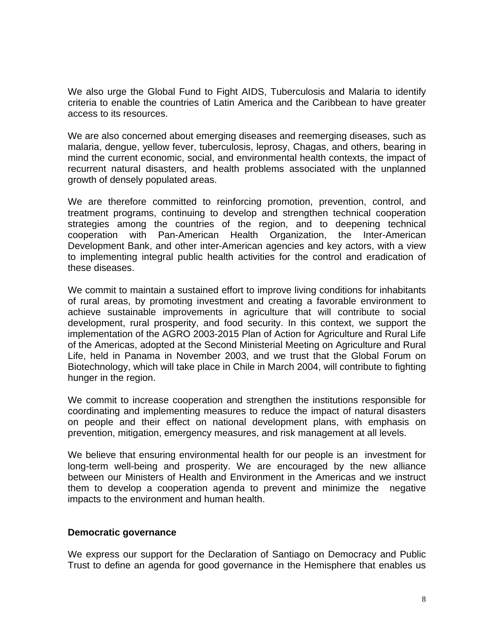We also urge the Global Fund to Fight AIDS, Tuberculosis and Malaria to identify criteria to enable the countries of Latin America and the Caribbean to have greater access to its resources.

We are also concerned about emerging diseases and reemerging diseases, such as malaria, dengue, yellow fever, tuberculosis, leprosy, Chagas, and others, bearing in mind the current economic, social, and environmental health contexts, the impact of recurrent natural disasters, and health problems associated with the unplanned growth of densely populated areas.

We are therefore committed to reinforcing promotion, prevention, control, and treatment programs, continuing to develop and strengthen technical cooperation strategies among the countries of the region, and to deepening technical cooperation with Pan-American Health Organization, the Inter-American Development Bank, and other inter-American agencies and key actors, with a view to implementing integral public health activities for the control and eradication of these diseases.

We commit to maintain a sustained effort to improve living conditions for inhabitants of rural areas, by promoting investment and creating a favorable environment to achieve sustainable improvements in agriculture that will contribute to social development, rural prosperity, and food security. In this context, we support the implementation of the AGRO 2003-2015 Plan of Action for Agriculture and Rural Life of the Americas, adopted at the Second Ministerial Meeting on Agriculture and Rural Life, held in Panama in November 2003, and we trust that the Global Forum on Biotechnology, which will take place in Chile in March 2004, will contribute to fighting hunger in the region.

We commit to increase cooperation and strengthen the institutions responsible for coordinating and implementing measures to reduce the impact of natural disasters on people and their effect on national development plans, with emphasis on prevention, mitigation, emergency measures, and risk management at all levels.

We believe that ensuring environmental health for our people is an investment for long-term well-being and prosperity. We are encouraged by the new alliance between our Ministers of Health and Environment in the Americas and we instruct them to develop a cooperation agenda to prevent and minimize the negative impacts to the environment and human health.

#### **Democratic governance**

We express our support for the Declaration of Santiago on Democracy and Public Trust to define an agenda for good governance in the Hemisphere that enables us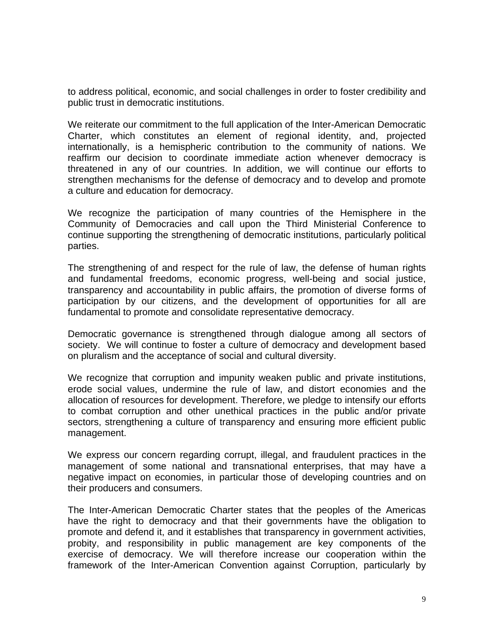to address political, economic, and social challenges in order to foster credibility and public trust in democratic institutions.

We reiterate our commitment to the full application of the Inter-American Democratic Charter, which constitutes an element of regional identity, and, projected internationally, is a hemispheric contribution to the community of nations. We reaffirm our decision to coordinate immediate action whenever democracy is threatened in any of our countries. In addition, we will continue our efforts to strengthen mechanisms for the defense of democracy and to develop and promote a culture and education for democracy.

We recognize the participation of many countries of the Hemisphere in the Community of Democracies and call upon the Third Ministerial Conference to continue supporting the strengthening of democratic institutions, particularly political parties.

The strengthening of and respect for the rule of law, the defense of human rights and fundamental freedoms, economic progress, well-being and social justice, transparency and accountability in public affairs, the promotion of diverse forms of participation by our citizens, and the development of opportunities for all are fundamental to promote and consolidate representative democracy.

Democratic governance is strengthened through dialogue among all sectors of society. We will continue to foster a culture of democracy and development based on pluralism and the acceptance of social and cultural diversity.

We recognize that corruption and impunity weaken public and private institutions, erode social values, undermine the rule of law, and distort economies and the allocation of resources for development. Therefore, we pledge to intensify our efforts to combat corruption and other unethical practices in the public and/or private sectors, strengthening a culture of transparency and ensuring more efficient public management.

We express our concern regarding corrupt, illegal, and fraudulent practices in the management of some national and transnational enterprises, that may have a negative impact on economies, in particular those of developing countries and on their producers and consumers.

The Inter-American Democratic Charter states that the peoples of the Americas have the right to democracy and that their governments have the obligation to promote and defend it, and it establishes that transparency in government activities, probity, and responsibility in public management are key components of the exercise of democracy. We will therefore increase our cooperation within the framework of the Inter-American Convention against Corruption, particularly by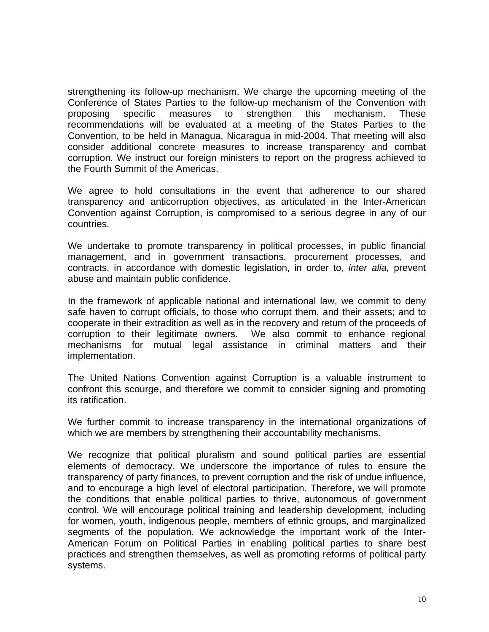strengthening its follow-up mechanism. We charge the upcoming meeting of the Conference of States Parties to the follow-up mechanism of the Convention with proposing specific measures to strengthen this mechanism. These recommendations will be evaluated at a meeting of the States Parties to the Convention, to be held in Managua, Nicaragua in mid-2004. That meeting will also consider additional concrete measures to increase transparency and combat corruption. We instruct our foreign ministers to report on the progress achieved to the Fourth Summit of the Americas.

We agree to hold consultations in the event that adherence to our shared transparency and anticorruption objectives, as articulated in the Inter-American Convention against Corruption, is compromised to a serious degree in any of our countries.

We undertake to promote transparency in political processes, in public financial management, and in government transactions, procurement processes, and contracts, in accordance with domestic legislation, in order to, *inter alia,* prevent abuse and maintain public confidence.

In the framework of applicable national and international law, we commit to deny safe haven to corrupt officials, to those who corrupt them, and their assets; and to cooperate in their extradition as well as in the recovery and return of the proceeds of corruption to their legitimate owners. We also commit to enhance regional mechanisms for mutual legal assistance in criminal matters and their implementation.

The United Nations Convention against Corruption is a valuable instrument to confront this scourge, and therefore we commit to consider signing and promoting its ratification.

We further commit to increase transparency in the international organizations of which we are members by strengthening their accountability mechanisms.

We recognize that political pluralism and sound political parties are essential elements of democracy. We underscore the importance of rules to ensure the transparency of party finances, to prevent corruption and the risk of undue influence, and to encourage a high level of electoral participation. Therefore, we will promote the conditions that enable political parties to thrive, autonomous of government control. We will encourage political training and leadership development, including for women, youth, indigenous people, members of ethnic groups, and marginalized segments of the population. We acknowledge the important work of the Inter-American Forum on Political Parties in enabling political parties to share best practices and strengthen themselves, as well as promoting reforms of political party systems.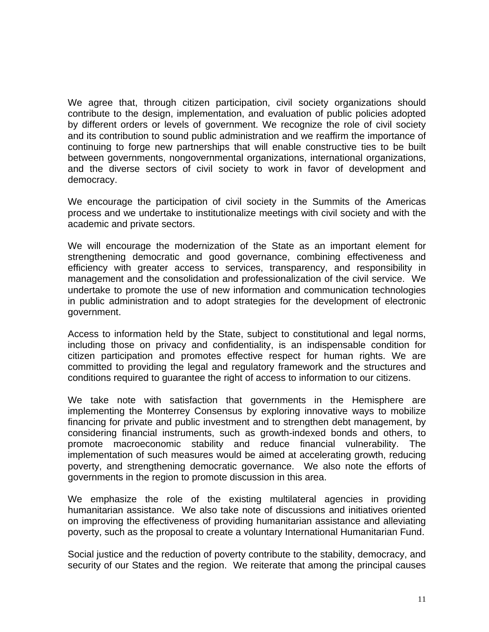We agree that, through citizen participation, civil society organizations should contribute to the design, implementation, and evaluation of public policies adopted by different orders or levels of government. We recognize the role of civil society and its contribution to sound public administration and we reaffirm the importance of continuing to forge new partnerships that will enable constructive ties to be built between governments, nongovernmental organizations, international organizations, and the diverse sectors of civil society to work in favor of development and democracy.

We encourage the participation of civil society in the Summits of the Americas process and we undertake to institutionalize meetings with civil society and with the academic and private sectors.

We will encourage the modernization of the State as an important element for strengthening democratic and good governance, combining effectiveness and efficiency with greater access to services, transparency, and responsibility in management and the consolidation and professionalization of the civil service. We undertake to promote the use of new information and communication technologies in public administration and to adopt strategies for the development of electronic government.

Access to information held by the State, subject to constitutional and legal norms, including those on privacy and confidentiality, is an indispensable condition for citizen participation and promotes effective respect for human rights. We are committed to providing the legal and regulatory framework and the structures and conditions required to guarantee the right of access to information to our citizens.

We take note with satisfaction that governments in the Hemisphere are implementing the Monterrey Consensus by exploring innovative ways to mobilize financing for private and public investment and to strengthen debt management, by considering financial instruments, such as growth-indexed bonds and others, to promote macroeconomic stability and reduce financial vulnerability. The implementation of such measures would be aimed at accelerating growth, reducing poverty, and strengthening democratic governance. We also note the efforts of governments in the region to promote discussion in this area.

We emphasize the role of the existing multilateral agencies in providing humanitarian assistance. We also take note of discussions and initiatives oriented on improving the effectiveness of providing humanitarian assistance and alleviating poverty, such as the proposal to create a voluntary International Humanitarian Fund.

Social justice and the reduction of poverty contribute to the stability, democracy, and security of our States and the region. We reiterate that among the principal causes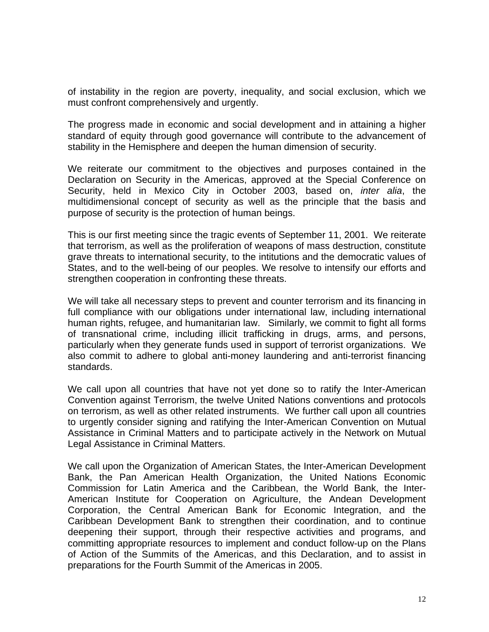of instability in the region are poverty, inequality, and social exclusion, which we must confront comprehensively and urgently.

The progress made in economic and social development and in attaining a higher standard of equity through good governance will contribute to the advancement of stability in the Hemisphere and deepen the human dimension of security.

We reiterate our commitment to the objectives and purposes contained in the Declaration on Security in the Americas, approved at the Special Conference on Security, held in Mexico City in October 2003, based on, *inter alia*, the multidimensional concept of security as well as the principle that the basis and purpose of security is the protection of human beings.

This is our first meeting since the tragic events of September 11, 2001. We reiterate that terrorism, as well as the proliferation of weapons of mass destruction, constitute grave threats to international security, to the intitutions and the democratic values of States, and to the well-being of our peoples. We resolve to intensify our efforts and strengthen cooperation in confronting these threats.

We will take all necessary steps to prevent and counter terrorism and its financing in full compliance with our obligations under international law, including international human rights, refugee, and humanitarian law. Similarly, we commit to fight all forms of transnational crime, including illicit trafficking in drugs, arms, and persons, particularly when they generate funds used in support of terrorist organizations. We also commit to adhere to global anti-money laundering and anti-terrorist financing standards.

We call upon all countries that have not yet done so to ratify the Inter-American Convention against Terrorism, the twelve United Nations conventions and protocols on terrorism, as well as other related instruments. We further call upon all countries to urgently consider signing and ratifying the Inter-American Convention on Mutual Assistance in Criminal Matters and to participate actively in the Network on Mutual Legal Assistance in Criminal Matters.

We call upon the Organization of American States, the Inter-American Development Bank, the Pan American Health Organization, the United Nations Economic Commission for Latin America and the Caribbean, the World Bank, the Inter-American Institute for Cooperation on Agriculture, the Andean Development Corporation, the Central American Bank for Economic Integration, and the Caribbean Development Bank to strengthen their coordination, and to continue deepening their support, through their respective activities and programs, and committing appropriate resources to implement and conduct follow-up on the Plans of Action of the Summits of the Americas, and this Declaration, and to assist in preparations for the Fourth Summit of the Americas in 2005.